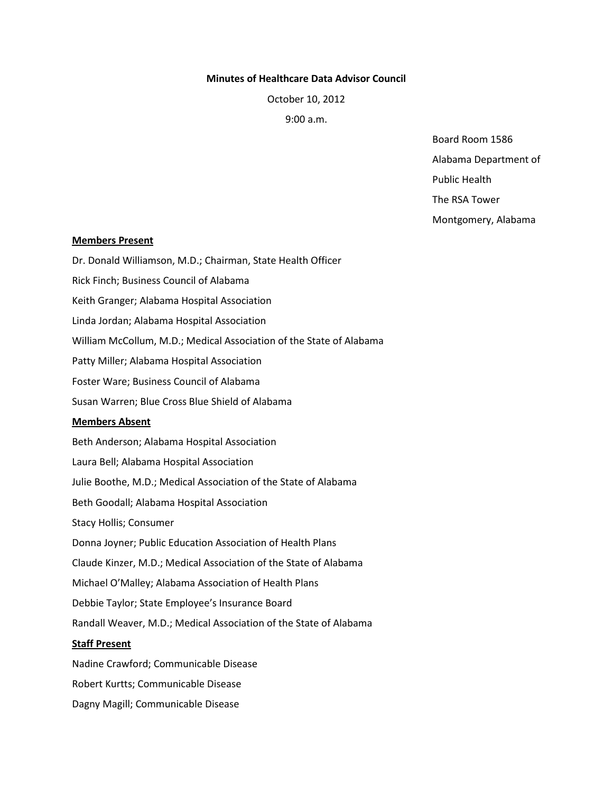#### **Minutes of Healthcare Data Advisor Council**

October 10, 2012

9:00 a.m.

Board Room 1586 Alabama Department of

Public Health

The RSA Tower

Montgomery, Alabama

#### **Members Present**

Dr. Donald Williamson, M.D.; Chairman, State Health Officer Rick Finch; Business Council of Alabama Keith Granger; Alabama Hospital Association Linda Jordan; Alabama Hospital Association William McCollum, M.D.; Medical Association of the State of Alabama Patty Miller; Alabama Hospital Association Foster Ware; Business Council of Alabama Susan Warren; Blue Cross Blue Shield of Alabama **Members Absent** Beth Anderson; Alabama Hospital Association Laura Bell; Alabama Hospital Association Julie Boothe, M.D.; Medical Association of the State of Alabama Beth Goodall; Alabama Hospital Association Stacy Hollis; Consumer Donna Joyner; Public Education Association of Health Plans Claude Kinzer, M.D.; Medical Association of the State of Alabama Michael O'Malley; Alabama Association of Health Plans Debbie Taylor; State Employee's Insurance Board Randall Weaver, M.D.; Medical Association of the State of Alabama **Staff Present**

Nadine Crawford; Communicable Disease Robert Kurtts; Communicable Disease Dagny Magill; Communicable Disease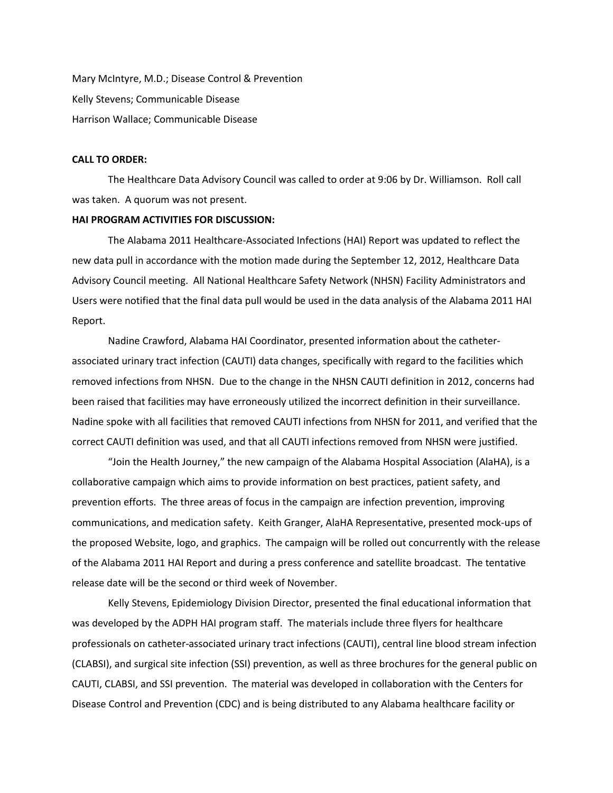Mary McIntyre, M.D.; Disease Control & Prevention Kelly Stevens; Communicable Disease Harrison Wallace; Communicable Disease

# **CALL TO ORDER:**

The Healthcare Data Advisory Council was called to order at 9:06 by Dr. Williamson. Roll call was taken. A quorum was not present.

## **HAI PROGRAM ACTIVITIES FOR DISCUSSION:**

The Alabama 2011 Healthcare-Associated Infections (HAI) Report was updated to reflect the new data pull in accordance with the motion made during the September 12, 2012, Healthcare Data Advisory Council meeting. All National Healthcare Safety Network (NHSN) Facility Administrators and Users were notified that the final data pull would be used in the data analysis of the Alabama 2011 HAI Report.

Nadine Crawford, Alabama HAI Coordinator, presented information about the catheterassociated urinary tract infection (CAUTI) data changes, specifically with regard to the facilities which removed infections from NHSN. Due to the change in the NHSN CAUTI definition in 2012, concerns had been raised that facilities may have erroneously utilized the incorrect definition in their surveillance. Nadine spoke with all facilities that removed CAUTI infections from NHSN for 2011, and verified that the correct CAUTI definition was used, and that all CAUTI infections removed from NHSN were justified.

"Join the Health Journey," the new campaign of the Alabama Hospital Association (AlaHA), is a collaborative campaign which aims to provide information on best practices, patient safety, and prevention efforts. The three areas of focus in the campaign are infection prevention, improving communications, and medication safety. Keith Granger, AlaHA Representative, presented mock-ups of the proposed Website, logo, and graphics. The campaign will be rolled out concurrently with the release of the Alabama 2011 HAI Report and during a press conference and satellite broadcast. The tentative release date will be the second or third week of November.

Kelly Stevens, Epidemiology Division Director, presented the final educational information that was developed by the ADPH HAI program staff. The materials include three flyers for healthcare professionals on catheter-associated urinary tract infections (CAUTI), central line blood stream infection (CLABSI), and surgical site infection (SSI) prevention, as well as three brochures for the general public on CAUTI, CLABSI, and SSI prevention. The material was developed in collaboration with the Centers for Disease Control and Prevention (CDC) and is being distributed to any Alabama healthcare facility or